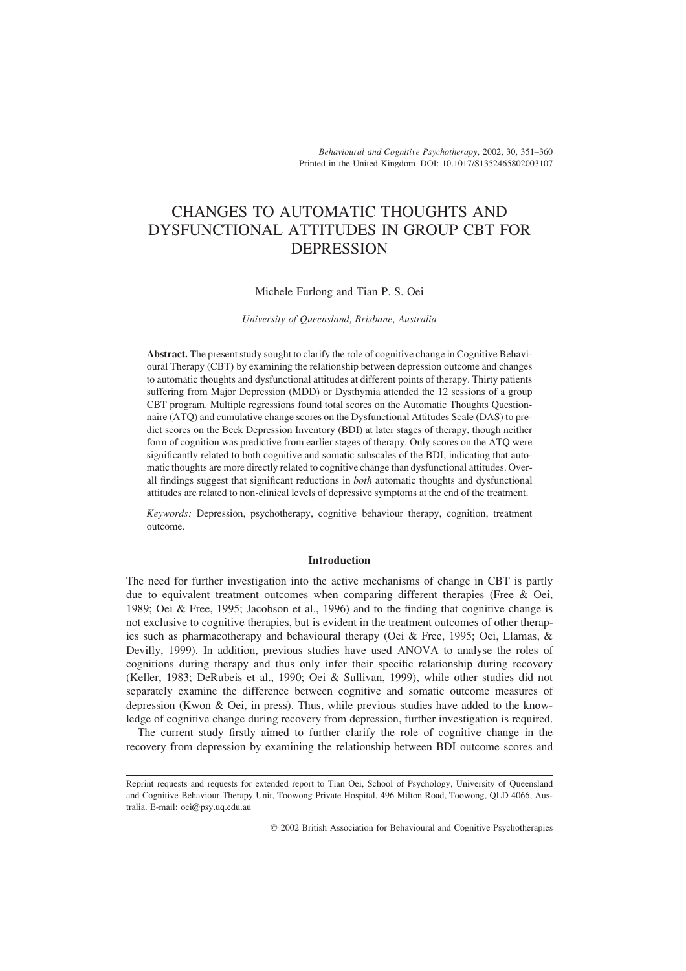*Behavioural and Cognitive Psychotherapy*, 2002, 30, 351–360 Printed in the United Kingdom DOI: 10.1017/S1352465802003107

# CHANGES TO AUTOMATIC THOUGHTS AND DYSFUNCTIONAL ATTITUDES IN GROUP CBT FOR DEPRESSION

## Michele Furlong and Tian P. S. Oei

*University of Queensland, Brisbane, Australia*

**Abstract.** The present study sought to clarify the role of cognitive change in Cognitive Behavioural Therapy (CBT) by examining the relationship between depression outcome and changes to automatic thoughts and dysfunctional attitudes at different points of therapy. Thirty patients suffering from Major Depression (MDD) or Dysthymia attended the 12 sessions of a group CBT program. Multiple regressions found total scores on the Automatic Thoughts Questionnaire (ATQ) and cumulative change scores on the Dysfunctional Attitudes Scale (DAS) to predict scores on the Beck Depression Inventory (BDI) at later stages of therapy, though neither form of cognition was predictive from earlier stages of therapy. Only scores on the ATQ were significantly related to both cognitive and somatic subscales of the BDI, indicating that automatic thoughts are more directly related to cognitive change than dysfunctional attitudes. Overall findings suggest that significant reductions in *both* automatic thoughts and dysfunctional attitudes are related to non-clinical levels of depressive symptoms at the end of the treatment.

*Keywords:* Depression, psychotherapy, cognitive behaviour therapy, cognition, treatment outcome.

## **Introduction**

The need for further investigation into the active mechanisms of change in CBT is partly due to equivalent treatment outcomes when comparing different therapies (Free & Oei, 1989; Oei & Free, 1995; Jacobson et al., 1996) and to the finding that cognitive change is not exclusive to cognitive therapies, but is evident in the treatment outcomes of other therapies such as pharmacotherapy and behavioural therapy (Oei & Free, 1995; Oei, Llamas, & Devilly, 1999). In addition, previous studies have used ANOVA to analyse the roles of cognitions during therapy and thus only infer their specific relationship during recovery (Keller, 1983; DeRubeis et al., 1990; Oei & Sullivan, 1999), while other studies did not separately examine the difference between cognitive and somatic outcome measures of depression (Kwon  $\&$  Oei, in press). Thus, while previous studies have added to the knowledge of cognitive change during recovery from depression, further investigation is required.

The current study firstly aimed to further clarify the role of cognitive change in the recovery from depression by examining the relationship between BDI outcome scores and

Reprint requests and requests for extended report to Tian Oei, School of Psychology, University of Queensland and Cognitive Behaviour Therapy Unit, Toowong Private Hospital, 496 Milton Road, Toowong, QLD 4066, Australia. E-mail: oei@psy.uq.edu.au

2002 British Association for Behavioural and Cognitive Psychotherapies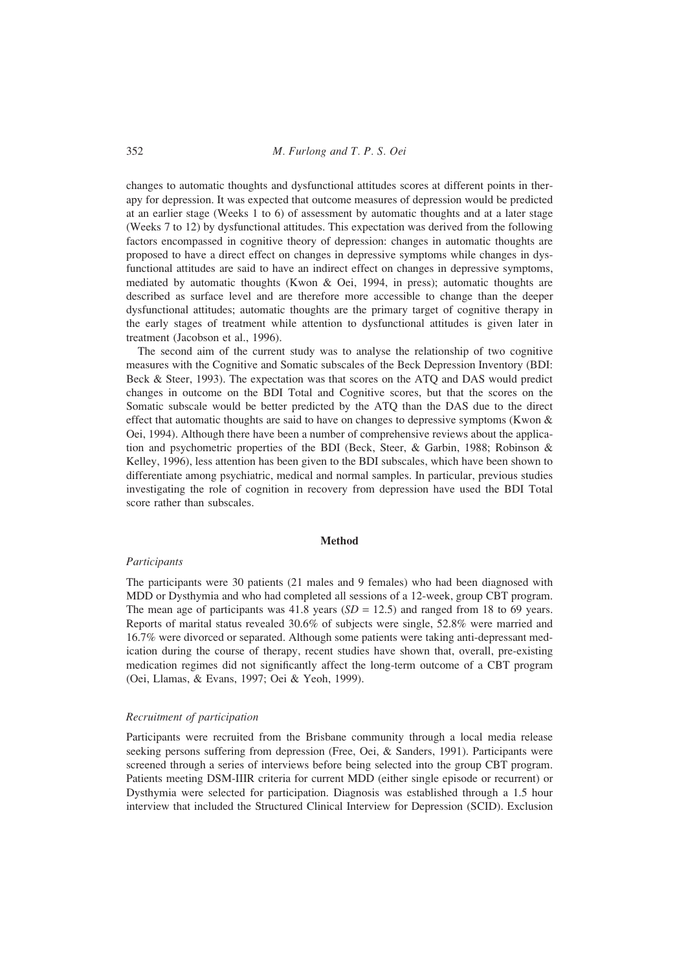352 *M. Furlong and T. P. S. Oei*

changes to automatic thoughts and dysfunctional attitudes scores at different points in therapy for depression. It was expected that outcome measures of depression would be predicted at an earlier stage (Weeks 1 to 6) of assessment by automatic thoughts and at a later stage (Weeks 7 to 12) by dysfunctional attitudes. This expectation was derived from the following factors encompassed in cognitive theory of depression: changes in automatic thoughts are proposed to have a direct effect on changes in depressive symptoms while changes in dysfunctional attitudes are said to have an indirect effect on changes in depressive symptoms, mediated by automatic thoughts (Kwon & Oei, 1994, in press); automatic thoughts are described as surface level and are therefore more accessible to change than the deeper dysfunctional attitudes; automatic thoughts are the primary target of cognitive therapy in the early stages of treatment while attention to dysfunctional attitudes is given later in treatment (Jacobson et al., 1996).

The second aim of the current study was to analyse the relationship of two cognitive measures with the Cognitive and Somatic subscales of the Beck Depression Inventory (BDI: Beck & Steer, 1993). The expectation was that scores on the ATQ and DAS would predict changes in outcome on the BDI Total and Cognitive scores, but that the scores on the Somatic subscale would be better predicted by the ATQ than the DAS due to the direct effect that automatic thoughts are said to have on changes to depressive symptoms (Kwon  $\&$ Oei, 1994). Although there have been a number of comprehensive reviews about the application and psychometric properties of the BDI (Beck, Steer, & Garbin, 1988; Robinson & Kelley, 1996), less attention has been given to the BDI subscales, which have been shown to differentiate among psychiatric, medical and normal samples. In particular, previous studies investigating the role of cognition in recovery from depression have used the BDI Total score rather than subscales.

# **Method**

## *Participants*

The participants were 30 patients (21 males and 9 females) who had been diagnosed with MDD or Dysthymia and who had completed all sessions of a 12-week, group CBT program. The mean age of participants was  $41.8$  years ( $SD = 12.5$ ) and ranged from 18 to 69 years. Reports of marital status revealed 30.6% of subjects were single, 52.8% were married and 16.7% were divorced or separated. Although some patients were taking anti-depressant medication during the course of therapy, recent studies have shown that, overall, pre-existing medication regimes did not significantly affect the long-term outcome of a CBT program (Oei, Llamas, & Evans, 1997; Oei & Yeoh, 1999).

## *Recruitment of participation*

Participants were recruited from the Brisbane community through a local media release seeking persons suffering from depression (Free, Oei, & Sanders, 1991). Participants were screened through a series of interviews before being selected into the group CBT program. Patients meeting DSM-IIIR criteria for current MDD (either single episode or recurrent) or Dysthymia were selected for participation. Diagnosis was established through a 1.5 hour interview that included the Structured Clinical Interview for Depression (SCID). Exclusion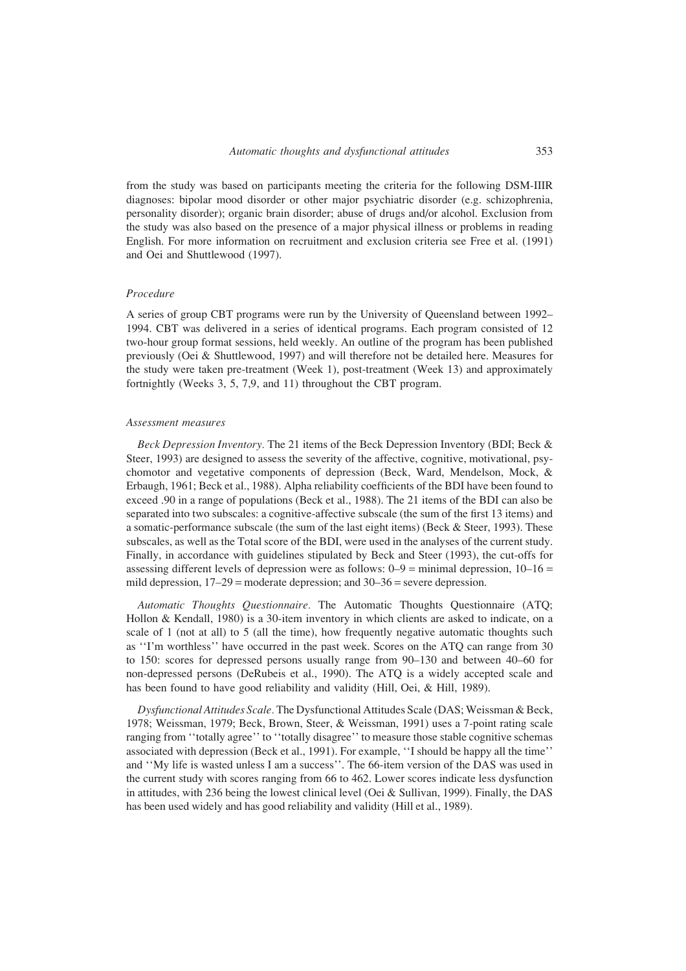from the study was based on participants meeting the criteria for the following DSM-IIIR diagnoses: bipolar mood disorder or other major psychiatric disorder (e.g. schizophrenia, personality disorder); organic brain disorder; abuse of drugs and/or alcohol. Exclusion from the study was also based on the presence of a major physical illness or problems in reading English. For more information on recruitment and exclusion criteria see Free et al. (1991) and Oei and Shuttlewood (1997).

#### *Procedure*

A series of group CBT programs were run by the University of Queensland between 1992– 1994. CBT was delivered in a series of identical programs. Each program consisted of 12 two-hour group format sessions, held weekly. An outline of the program has been published previously (Oei & Shuttlewood, 1997) and will therefore not be detailed here. Measures for the study were taken pre-treatment (Week 1), post-treatment (Week 13) and approximately fortnightly (Weeks 3, 5, 7,9, and 11) throughout the CBT program.

#### *Assessment measures*

*Beck Depression Inventory.* The 21 items of the Beck Depression Inventory (BDI; Beck & Steer, 1993) are designed to assess the severity of the affective, cognitive, motivational, psychomotor and vegetative components of depression (Beck, Ward, Mendelson, Mock, & Erbaugh, 1961; Beck et al., 1988). Alpha reliability coefficients of the BDI have been found to exceed .90 in a range of populations (Beck et al., 1988). The 21 items of the BDI can also be separated into two subscales: a cognitive-affective subscale (the sum of the first 13 items) and a somatic-performance subscale (the sum of the last eight items) (Beck & Steer, 1993). These subscales, as well as the Total score of the BDI, were used in the analyses of the current study. Finally, in accordance with guidelines stipulated by Beck and Steer (1993), the cut-offs for assessing different levels of depression were as follows:  $0-9 = \text{minimal depression}, 10-16 =$ mild depression, 17–29 = moderate depression; and 30–36 = severe depression.

*Automatic Thoughts Questionnaire.* The Automatic Thoughts Questionnaire (ATQ; Hollon & Kendall, 1980) is a 30-item inventory in which clients are asked to indicate, on a scale of 1 (not at all) to 5 (all the time), how frequently negative automatic thoughts such as ''I'm worthless'' have occurred in the past week. Scores on the ATQ can range from 30 to 150: scores for depressed persons usually range from 90–130 and between 40–60 for non-depressed persons (DeRubeis et al., 1990). The ATQ is a widely accepted scale and has been found to have good reliability and validity (Hill, Oei, & Hill, 1989).

*Dysfunctional Attitudes Scale.* The Dysfunctional Attitudes Scale (DAS; Weissman & Beck, 1978; Weissman, 1979; Beck, Brown, Steer, & Weissman, 1991) uses a 7-point rating scale ranging from ''totally agree'' to ''totally disagree'' to measure those stable cognitive schemas associated with depression (Beck et al., 1991). For example, ''I should be happy all the time'' and ''My life is wasted unless I am a success''. The 66-item version of the DAS was used in the current study with scores ranging from 66 to 462. Lower scores indicate less dysfunction in attitudes, with 236 being the lowest clinical level (Oei  $&$  Sullivan, 1999). Finally, the DAS has been used widely and has good reliability and validity (Hill et al., 1989).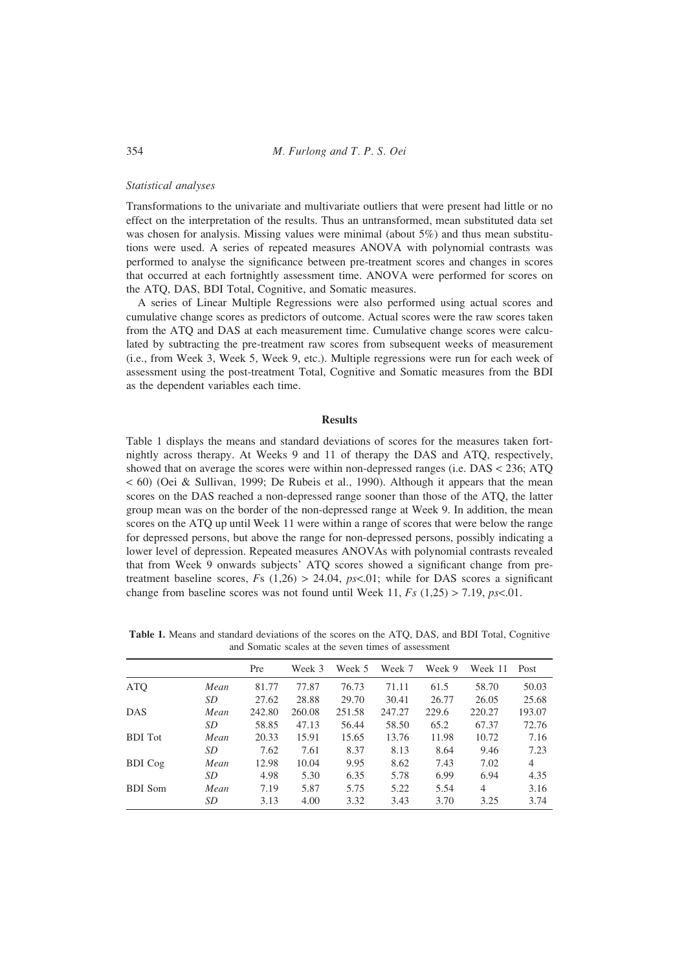354 *M. Furlong and T. P. S. Oei*

## *Statistical analyses*

Transformations to the univariate and multivariate outliers that were present had little or no effect on the interpretation of the results. Thus an untransformed, mean substituted data set was chosen for analysis. Missing values were minimal (about 5%) and thus mean substitutions were used. A series of repeated measures ANOVA with polynomial contrasts was performed to analyse the significance between pre-treatment scores and changes in scores that occurred at each fortnightly assessment time. ANOVA were performed for scores on the ATQ, DAS, BDI Total, Cognitive, and Somatic measures.

A series of Linear Multiple Regressions were also performed using actual scores and cumulative change scores as predictors of outcome. Actual scores were the raw scores taken from the ATQ and DAS at each measurement time. Cumulative change scores were calculated by subtracting the pre-treatment raw scores from subsequent weeks of measurement (i.e., from Week 3, Week 5, Week 9, etc.). Multiple regressions were run for each week of assessment using the post-treatment Total, Cognitive and Somatic measures from the BDI as the dependent variables each time.

#### **Results**

Table 1 displays the means and standard deviations of scores for the measures taken fortnightly across therapy. At Weeks 9 and 11 of therapy the DAS and ATQ, respectively, showed that on average the scores were within non-depressed ranges (i.e. DAS < 236; ATQ < 60) (Oei & Sullivan, 1999; De Rubeis et al., 1990). Although it appears that the mean scores on the DAS reached a non-depressed range sooner than those of the ATQ, the latter group mean was on the border of the non-depressed range at Week 9. In addition, the mean scores on the ATQ up until Week 11 were within a range of scores that were below the range for depressed persons, but above the range for non-depressed persons, possibly indicating a lower level of depression. Repeated measures ANOVAs with polynomial contrasts revealed that from Week 9 onwards subjects' ATQ scores showed a significant change from pretreatment baseline scores,  $Fs$  (1,26) > 24.04,  $ps<0.01$ ; while for DAS scores a significant change from baseline scores was not found until Week 11, *Fs* (1,25) > 7.19, *ps*<.01.

**Table 1.** Means and standard deviations of the scores on the ATQ, DAS, and BDI Total, Cognitive and Somatic scales at the seven times of assessment

|                |      | Pre    | Week 3 | Week 5 | Week 7 | Week 9 | Week 11        | Post   |
|----------------|------|--------|--------|--------|--------|--------|----------------|--------|
| <b>ATQ</b>     | Mean | 81.77  | 77.87  | 76.73  | 71.11  | 61.5   | 58.70          | 50.03  |
|                | SD   | 27.62  | 28.88  | 29.70  | 30.41  | 26.77  | 26.05          | 25.68  |
| <b>DAS</b>     | Mean | 242.80 | 260.08 | 251.58 | 247.27 | 229.6  | 220.27         | 193.07 |
|                | SD   | 58.85  | 47.13  | 56.44  | 58.50  | 65.2   | 67.37          | 72.76  |
| <b>BDI</b> Tot | Mean | 20.33  | 15.91  | 15.65  | 13.76  | 11.98  | 10.72          | 7.16   |
|                | SD   | 7.62   | 7.61   | 8.37   | 8.13   | 8.64   | 9.46           | 7.23   |
| <b>BDI</b> Cog | Mean | 12.98  | 10.04  | 9.95   | 8.62   | 7.43   | 7.02           | 4      |
|                | SD   | 4.98   | 5.30   | 6.35   | 5.78   | 6.99   | 6.94           | 4.35   |
| <b>BDI</b> Som | Mean | 7.19   | 5.87   | 5.75   | 5.22   | 5.54   | $\overline{4}$ | 3.16   |
|                | SD   | 3.13   | 4.00   | 3.32   | 3.43   | 3.70   | 3.25           | 3.74   |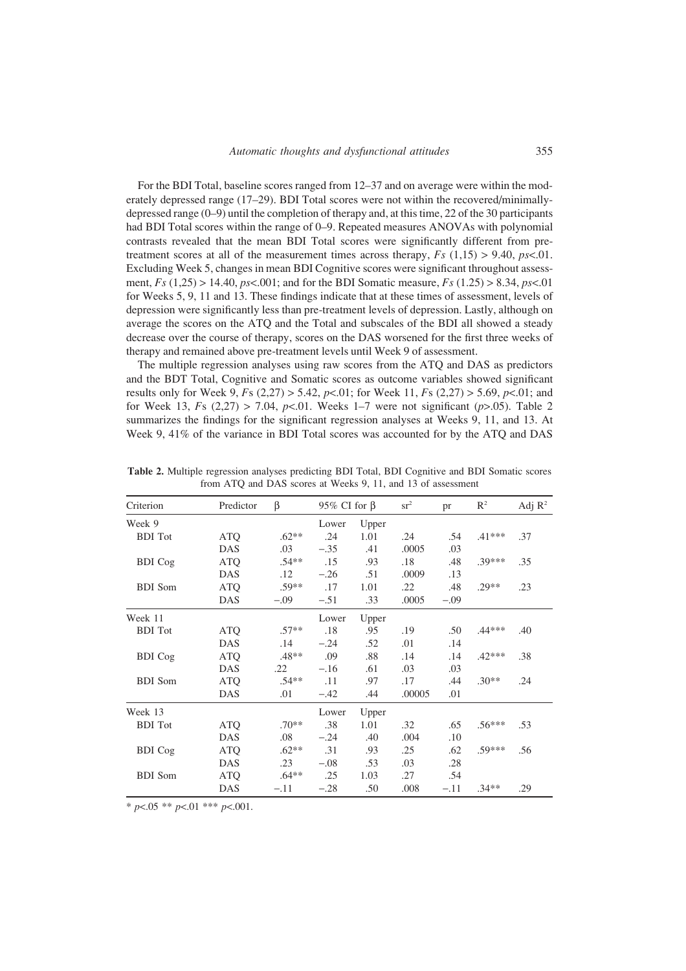For the BDI Total, baseline scores ranged from 12–37 and on average were within the moderately depressed range (17–29). BDI Total scores were not within the recovered/minimallydepressed range (0–9) until the completion of therapy and, at this time, 22 of the 30 participants had BDI Total scores within the range of 0–9. Repeated measures ANOVAs with polynomial contrasts revealed that the mean BDI Total scores were significantly different from pretreatment scores at all of the measurement times across therapy, *Fs* (1,15) > 9.40, *ps*<.01. Excluding Week 5, changes in mean BDI Cognitive scores were significant throughout assessment, *Fs* (1,25) > 14.40, *ps*<.001; and for the BDI Somatic measure, *Fs* (1.25) > 8.34, *ps*<.01 for Weeks 5, 9, 11 and 13. These findings indicate that at these times of assessment, levels of depression were significantly less than pre-treatment levels of depression. Lastly, although on average the scores on the ATQ and the Total and subscales of the BDI all showed a steady decrease over the course of therapy, scores on the DAS worsened for the first three weeks of therapy and remained above pre-treatment levels until Week 9 of assessment.

The multiple regression analyses using raw scores from the ATQ and DAS as predictors and the BDT Total, Cognitive and Somatic scores as outcome variables showed significant results only for Week 9, *F*s (2,27) > 5.42, *p*<.01; for Week 11, *F*s (2,27) > 5.69, *p*<.01; and for Week 13, *F*s (2,27) > 7.04, *p*<.01. Weeks 1–7 were not significant (*p*>.05). Table 2 summarizes the findings for the significant regression analyses at Weeks 9, 11, and 13. At Week 9, 41% of the variance in BDI Total scores was accounted for by the ATQ and DAS

| Criterion      | Predictor  | $\beta$ | 95% CI for $\beta$ |       | sr <sup>2</sup> | pr     | $R^2$    | Adj $\mathbb{R}^2$ |
|----------------|------------|---------|--------------------|-------|-----------------|--------|----------|--------------------|
| Week 9         |            |         | Lower              | Upper |                 |        |          |                    |
| <b>BDI</b> Tot | <b>ATQ</b> | $.62**$ | .24                | 1.01  | .24             | .54    | $.41***$ | .37                |
|                | DAS        | .03     | $-.35$             | .41   | .0005           | .03    |          |                    |
| <b>BDI</b> Cog | <b>ATO</b> | $.54**$ | .15                | .93   | .18             | .48    | $.39***$ | .35                |
|                | <b>DAS</b> | $.12\,$ | $-.26$             | .51   | .0009           | .13    |          |                    |
| <b>BDI</b> Som | <b>ATO</b> | $.59**$ | .17                | 1.01  | .22             | .48    | $.29**$  | .23                |
|                | DAS        | $-.09$  | $-.51$             | .33   | .0005           | $-.09$ |          |                    |
| Week 11        |            |         | Lower              | Upper |                 |        |          |                    |
| <b>BDI</b> Tot | <b>ATQ</b> | $.57**$ | .18                | .95   | .19             | .50    | .44***   | .40                |
|                | DAS        | .14     | $-.24$             | .52   | .01             | .14    |          |                    |
| <b>BDI</b> Cog | <b>ATQ</b> | $.48**$ | .09                | .88   | .14             | .14    | $.42***$ | .38                |
|                | DAS        | .22     | $-.16$             | .61   | .03             | .03    |          |                    |
| <b>BDI</b> Som | <b>ATQ</b> | $.54**$ | .11                | .97   | .17             | .44    | $.30**$  | .24                |
|                | DAS        | .01     | $-.42$             | .44   | .00005          | .01    |          |                    |
| Week 13        |            |         | Lower              | Upper |                 |        |          |                    |
| <b>BDI</b> Tot | <b>ATO</b> | $.70**$ | .38                | 1.01  | .32             | .65    | $.56***$ | .53                |
|                | DAS        | .08     | $-.24$             | .40   | .004            | .10    |          |                    |
| <b>BDI</b> Cog | <b>ATO</b> | $.62**$ | .31                | .93   | .25             | .62    | $.59***$ | .56                |
|                | DAS        | .23     | $-.08$             | .53   | .03             | .28    |          |                    |
| <b>BDI</b> Som | <b>ATQ</b> | $.64**$ | .25                | 1.03  | .27             | .54    |          |                    |
|                | DAS        | $-.11$  | $-.28$             | .50   | .008            | $-.11$ | $.34**$  | .29                |

**Table 2.** Multiple regression analyses predicting BDI Total, BDI Cognitive and BDI Somatic scores from ATQ and DAS scores at Weeks 9, 11, and 13 of assessment

\* *p*<.05 \*\* *p*<.01 \*\*\* *p*<.001.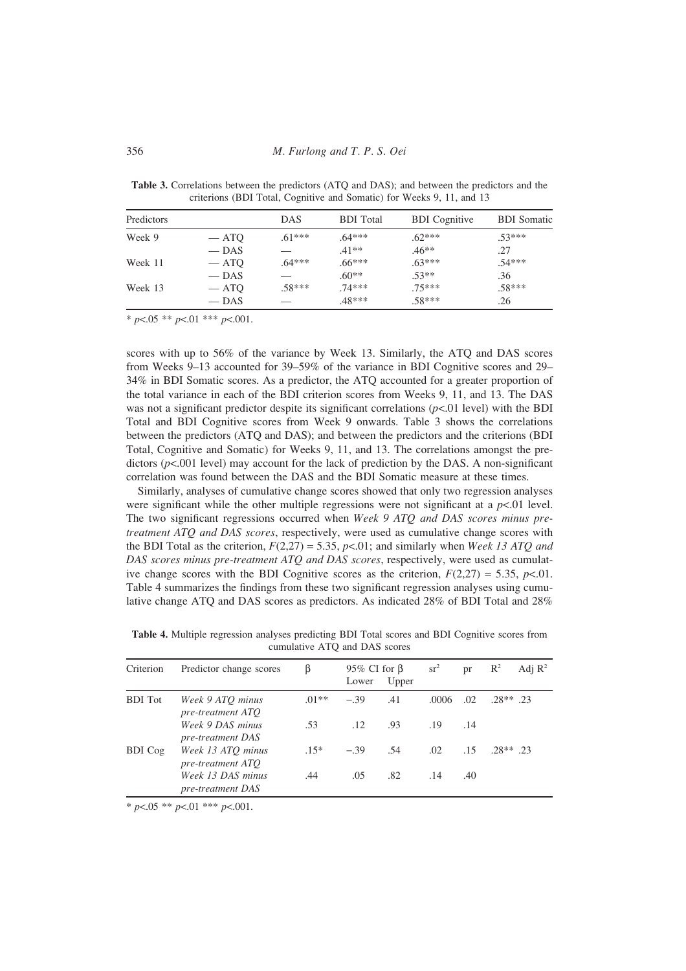| Predictors |         | <b>DAS</b> | <b>BDI</b> Total | <b>BDI</b> Cognitive | <b>BDI</b> Somatic |
|------------|---------|------------|------------------|----------------------|--------------------|
| Week 9     | $-$ ATQ | $.61***$   | $.64***$         | $.62***$             | $.53***$           |
|            | $-$ DAS |            | $41**$           | $.46**$              | .27                |
| Week 11    | $-$ ATQ | $.64***$   | $.66***$         | $.63***$             | $.54***$           |
|            | $-$ DAS |            | $.60**$          | $.53**$              | .36                |
| Week 13    | $-$ ATQ | $.58***$   | $.74***$         | $.75***$             | $.58***$           |
|            | $-$ DAS |            | .48***           | $.58***$             | .26                |

**Table 3.** Correlations between the predictors (ATQ and DAS); and between the predictors and the criterions (BDI Total, Cognitive and Somatic) for Weeks 9, 11, and 13

\* *p*<.05 \*\* *p*<.01 \*\*\* *p*<.001.

scores with up to 56% of the variance by Week 13. Similarly, the ATQ and DAS scores from Weeks 9–13 accounted for 39–59% of the variance in BDI Cognitive scores and 29– 34% in BDI Somatic scores. As a predictor, the ATQ accounted for a greater proportion of the total variance in each of the BDI criterion scores from Weeks 9, 11, and 13. The DAS was not a significant predictor despite its significant correlations (*p*<.01 level) with the BDI Total and BDI Cognitive scores from Week 9 onwards. Table 3 shows the correlations between the predictors (ATQ and DAS); and between the predictors and the criterions (BDI Total, Cognitive and Somatic) for Weeks 9, 11, and 13. The correlations amongst the predictors ( $p$ <.001 level) may account for the lack of prediction by the DAS. A non-significant correlation was found between the DAS and the BDI Somatic measure at these times.

Similarly, analyses of cumulative change scores showed that only two regression analyses were significant while the other multiple regressions were not significant at a  $p<01$  level. The two significant regressions occurred when *Week 9 ATQ and DAS scores minus pretreatment ATQ and DAS scores*, respectively, were used as cumulative change scores with the BDI Total as the criterion, *F*(2,27) = 5.35, *p*<.01; and similarly when *Week 13 ATQ and DAS scores minus pre-treatment ATQ and DAS scores*, respectively, were used as cumulative change scores with the BDI Cognitive scores as the criterion,  $F(2,27) = 5.35$ ,  $p<.01$ . Table 4 summarizes the findings from these two significant regression analyses using cumulative change ATQ and DAS scores as predictors. As indicated 28% of BDI Total and 28%

| Criterion      | Predictor change scores                       | β       | 95\% CI for $\beta$<br>Lower | Upper | $sr^2$ | pr  | $\mathbb{R}^2$ | Adj $\mathbb{R}^2$ |
|----------------|-----------------------------------------------|---------|------------------------------|-------|--------|-----|----------------|--------------------|
| <b>BDI</b> Tot | Week 9 ATO minus<br>pre-treatment ATO         | $.01**$ | $-39$                        | .41   | .0006  | .02 | $.28**$ 23     |                    |
|                | Week 9 DAS minus<br>pre-treatment DAS         | .53     | .12                          | .93   | .19    | .14 |                |                    |
| <b>BDI</b> Cog | Week 13 ATO minus<br>pre-treatment ATO        | $.15*$  | $-.39$                       | .54   | .02    | .15 | 28** 23        |                    |
|                | Week 13 DAS minus<br><i>pre-treatment DAS</i> | .44     | .05                          | .82   | .14    | .40 |                |                    |

**Table 4.** Multiple regression analyses predicting BDI Total scores and BDI Cognitive scores from cumulative ATQ and DAS scores

\* *p*<.05 \*\* *p*<.01 \*\*\* *p*<.001.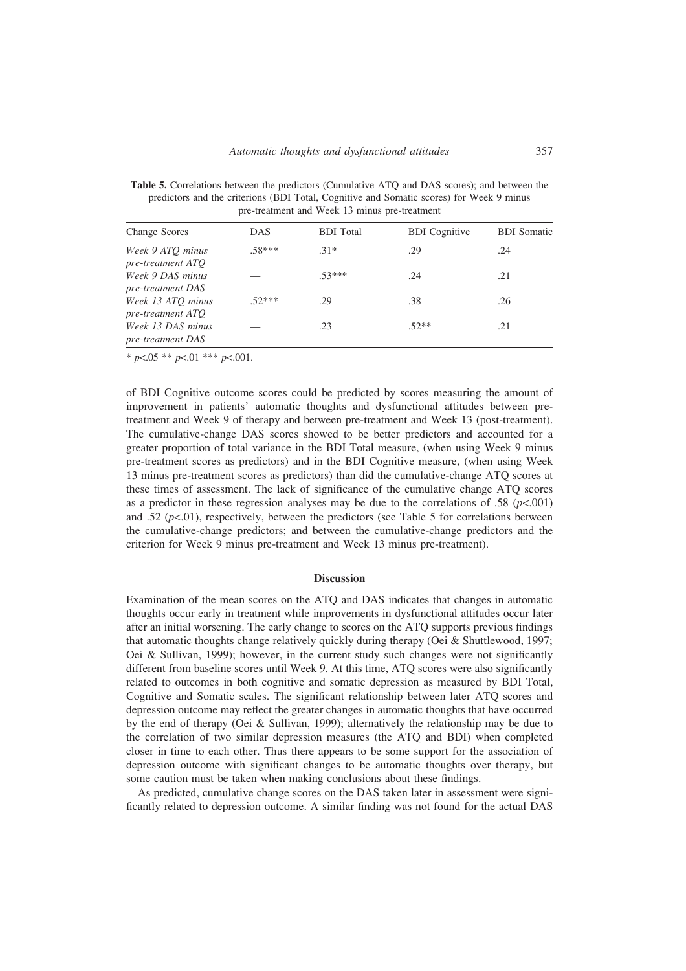Change Scores DAS BDI Total BDI Cognitive BDI Somatic *Week 9 ATQ minus* .58\*\*\* .31\* .29 .24 *pre-treatment ATQ Week 9 DAS minus* — .53\*\*\* .24 .21 .21 *pre-treatment DAS Week 13 ATQ minus* .52\*\*\* .29 .38 .26

*Week 13 DAS minus* — .23 .52<sup>\*\*</sup> .21

**Table 5.** Correlations between the predictors (Cumulative ATQ and DAS scores); and between the predictors and the criterions (BDI Total, Cognitive and Somatic scores) for Week 9 minus pre-treatment and Week 13 minus pre-treatment

\* *p*<.05 \*\* *p*<.01 \*\*\* *p*<.001.

*pre-treatment ATQ*

*pre-treatment DAS*

of BDI Cognitive outcome scores could be predicted by scores measuring the amount of improvement in patients' automatic thoughts and dysfunctional attitudes between pretreatment and Week 9 of therapy and between pre-treatment and Week 13 (post-treatment). The cumulative-change DAS scores showed to be better predictors and accounted for a greater proportion of total variance in the BDI Total measure, (when using Week 9 minus pre-treatment scores as predictors) and in the BDI Cognitive measure, (when using Week 13 minus pre-treatment scores as predictors) than did the cumulative-change ATQ scores at these times of assessment. The lack of significance of the cumulative change ATQ scores as a predictor in these regression analyses may be due to the correlations of .58 ( $p<.001$ ) and .52  $(p<.01)$ , respectively, between the predictors (see Table 5 for correlations between the cumulative-change predictors; and between the cumulative-change predictors and the criterion for Week 9 minus pre-treatment and Week 13 minus pre-treatment).

#### **Discussion**

Examination of the mean scores on the ATQ and DAS indicates that changes in automatic thoughts occur early in treatment while improvements in dysfunctional attitudes occur later after an initial worsening. The early change to scores on the ATQ supports previous findings that automatic thoughts change relatively quickly during therapy (Oei & Shuttlewood, 1997; Oei & Sullivan, 1999); however, in the current study such changes were not significantly different from baseline scores until Week 9. At this time, ATQ scores were also significantly related to outcomes in both cognitive and somatic depression as measured by BDI Total, Cognitive and Somatic scales. The significant relationship between later ATQ scores and depression outcome may reflect the greater changes in automatic thoughts that have occurred by the end of therapy (Oei  $&$  Sullivan, 1999); alternatively the relationship may be due to the correlation of two similar depression measures (the ATQ and BDI) when completed closer in time to each other. Thus there appears to be some support for the association of depression outcome with significant changes to be automatic thoughts over therapy, but some caution must be taken when making conclusions about these findings.

As predicted, cumulative change scores on the DAS taken later in assessment were significantly related to depression outcome. A similar finding was not found for the actual DAS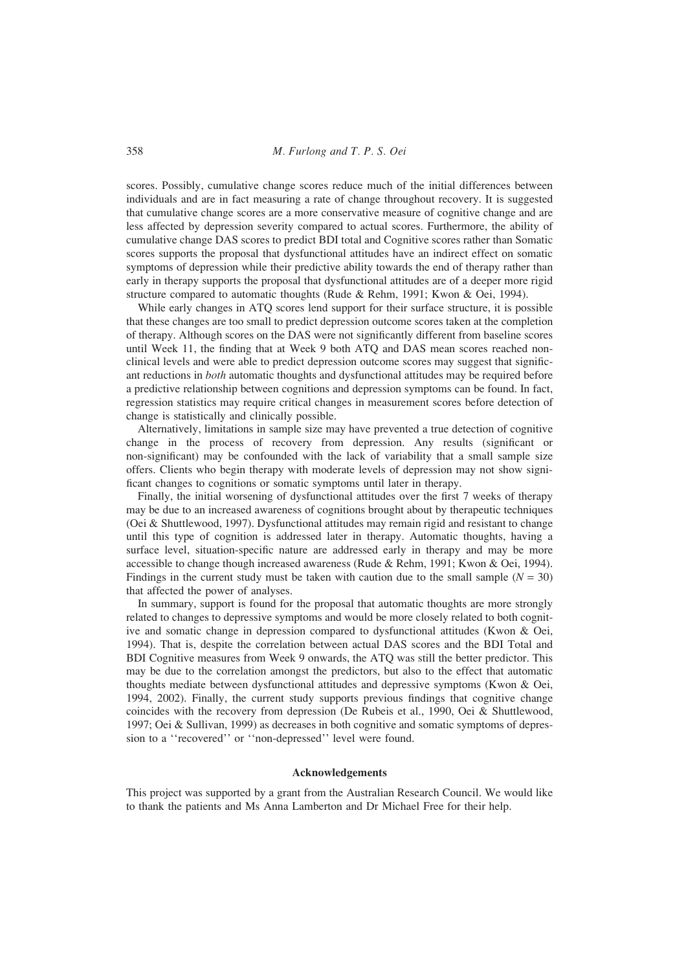scores. Possibly, cumulative change scores reduce much of the initial differences between individuals and are in fact measuring a rate of change throughout recovery. It is suggested that cumulative change scores are a more conservative measure of cognitive change and are less affected by depression severity compared to actual scores. Furthermore, the ability of cumulative change DAS scores to predict BDI total and Cognitive scores rather than Somatic scores supports the proposal that dysfunctional attitudes have an indirect effect on somatic symptoms of depression while their predictive ability towards the end of therapy rather than early in therapy supports the proposal that dysfunctional attitudes are of a deeper more rigid structure compared to automatic thoughts (Rude & Rehm, 1991; Kwon & Oei, 1994).

While early changes in ATQ scores lend support for their surface structure, it is possible that these changes are too small to predict depression outcome scores taken at the completion of therapy. Although scores on the DAS were not significantly different from baseline scores until Week 11, the finding that at Week 9 both ATQ and DAS mean scores reached nonclinical levels and were able to predict depression outcome scores may suggest that significant reductions in *both* automatic thoughts and dysfunctional attitudes may be required before a predictive relationship between cognitions and depression symptoms can be found. In fact, regression statistics may require critical changes in measurement scores before detection of change is statistically and clinically possible.

Alternatively, limitations in sample size may have prevented a true detection of cognitive change in the process of recovery from depression. Any results (significant or non-significant) may be confounded with the lack of variability that a small sample size offers. Clients who begin therapy with moderate levels of depression may not show significant changes to cognitions or somatic symptoms until later in therapy.

Finally, the initial worsening of dysfunctional attitudes over the first 7 weeks of therapy may be due to an increased awareness of cognitions brought about by therapeutic techniques (Oei & Shuttlewood, 1997). Dysfunctional attitudes may remain rigid and resistant to change until this type of cognition is addressed later in therapy. Automatic thoughts, having a surface level, situation-specific nature are addressed early in therapy and may be more accessible to change though increased awareness (Rude & Rehm, 1991; Kwon & Oei, 1994). Findings in the current study must be taken with caution due to the small sample  $(N = 30)$ that affected the power of analyses.

In summary, support is found for the proposal that automatic thoughts are more strongly related to changes to depressive symptoms and would be more closely related to both cognitive and somatic change in depression compared to dysfunctional attitudes (Kwon & Oei, 1994). That is, despite the correlation between actual DAS scores and the BDI Total and BDI Cognitive measures from Week 9 onwards, the ATQ was still the better predictor. This may be due to the correlation amongst the predictors, but also to the effect that automatic thoughts mediate between dysfunctional attitudes and depressive symptoms (Kwon & Oei, 1994, 2002). Finally, the current study supports previous findings that cognitive change coincides with the recovery from depression (De Rubeis et al., 1990, Oei & Shuttlewood, 1997; Oei & Sullivan, 1999) as decreases in both cognitive and somatic symptoms of depression to a ''recovered'' or ''non-depressed'' level were found.

#### **Acknowledgements**

This project was supported by a grant from the Australian Research Council. We would like to thank the patients and Ms Anna Lamberton and Dr Michael Free for their help.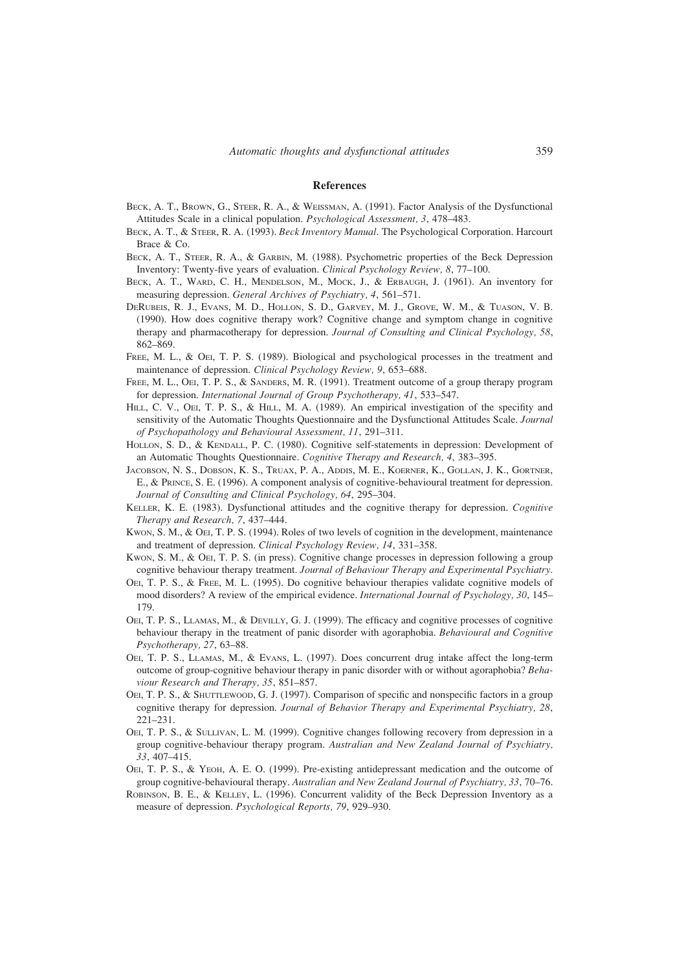## **References**

- BECK, A. T., BROWN, G., STEER, R. A., & WEISSMAN, A. (1991). Factor Analysis of the Dysfunctional Attitudes Scale in a clinical population. *Psychological Assessment, 3*, 478–483.
- BECK, A. T., & STEER, R. A. (1993). *Beck Inventory Manual*. The Psychological Corporation. Harcourt Brace & Co.
- BECK, A. T., STEER, R. A., & GARBIN, M. (1988). Psychometric properties of the Beck Depression Inventory: Twenty-five years of evaluation. *Clinical Psychology Review, 8*, 77–100.
- BECK, A. T., WARD, C. H., MENDELSON, M., MOCK, J., & ERBAUGH, J. (1961). An inventory for measuring depression. *General Archives of Psychiatry, 4*, 561–571.
- DERUBEIS, R. J., EVANS, M. D., HOLLON, S. D., GARVEY, M. J., GROVE, W. M., & TUASON, V. B. (1990). How does cognitive therapy work? Cognitive change and symptom change in cognitive therapy and pharmacotherapy for depression. *Journal of Consulting and Clinical Psychology, 58*, 862–869.
- FREE, M. L., & OEI, T. P. S. (1989). Biological and psychological processes in the treatment and maintenance of depression. *Clinical Psychology Review, 9*, 653–688.
- FREE, M. L., OEI, T. P. S., & SANDERS, M. R. (1991). Treatment outcome of a group therapy program for depression. *International Journal of Group Psychotherapy, 41*, 533–547.
- HILL, C. V., OEI, T. P. S., & HILL, M. A. (1989). An empirical investigation of the specifity and sensitivity of the Automatic Thoughts Questionnaire and the Dysfunctional Attitudes Scale. *Journal of Psychopathology and Behavioural Assessment, 11*, 291–311.
- HOLLON, S. D., & KENDALL, P. C. (1980). Cognitive self-statements in depression: Development of an Automatic Thoughts Questionnaire. *Cognitive Therapy and Research, 4*, 383–395.
- JACOBSON, N. S., DOBSON, K. S., TRUAX, P. A., ADDIS, M. E., KOERNER, K., GOLLAN, J. K., GORTNER, E., & PRINCE, S. E. (1996). A component analysis of cognitive-behavioural treatment for depression. *Journal of Consulting and Clinical Psychology, 64*, 295–304.
- KELLER, K. E. (1983). Dysfunctional attitudes and the cognitive therapy for depression. *Cognitive Therapy and Research, 7*, 437–444.
- KWON, S. M., & OEI, T. P. S. (1994). Roles of two levels of cognition in the development, maintenance and treatment of depression. *Clinical Psychology Review, 14*, 331–358.
- Kwon, S. M., & OEI, T. P. S. (in press). Cognitive change processes in depression following a group cognitive behaviour therapy treatment. *Journal of Behaviour Therapy and Experimental Psychiatry*.
- OEI, T. P. S., & FREE, M. L. (1995). Do cognitive behaviour therapies validate cognitive models of mood disorders? A review of the empirical evidence. *International Journal of Psychology, 30*, 145– 179.
- OEI, T. P. S., LLAMAS, M., & DEVILLY, G. J. (1999). The efficacy and cognitive processes of cognitive behaviour therapy in the treatment of panic disorder with agoraphobia. *Behavioural and Cognitive Psychotherapy, 27*, 63–88.
- OEI, T. P. S., LLAMAS, M., & EVANS, L. (1997). Does concurrent drug intake affect the long-term outcome of group-cognitive behaviour therapy in panic disorder with or without agoraphobia? *Behaviour Research and Therapy, 35*, 851–857.
- OEI, T. P. S., & SHUTTLEWOOD, G. J. (1997). Comparison of specific and nonspecific factors in a group cognitive therapy for depression. *Journal of Behavior Therapy and Experimental Psychiatry, 28*, 221–231.
- OEI, T. P. S., & SULLIVAN, L. M. (1999). Cognitive changes following recovery from depression in a group cognitive-behaviour therapy program. *Australian and New Zealand Journal of Psychiatry, 33*, 407–415.
- OEI, T. P. S., & YEOH, A. E. O. (1999). Pre-existing antidepressant medication and the outcome of group cognitive-behavioural therapy. *Australian and New Zealand Journal of Psychiatry, 33*, 70–76.
- ROBINSON, B. E., & KELLEY, L. (1996). Concurrent validity of the Beck Depression Inventory as a measure of depression. *Psychological Reports, 79*, 929–930.